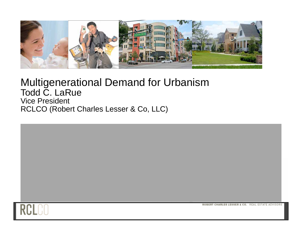

#### Multigenerational Demand for Urbanism Todd C. LaRue Vice President RCLCO (Robert Charles Lesser & Co, LLC)



ROBERT CHARLES LESSER & CO. REAL ESTATE ADVISORS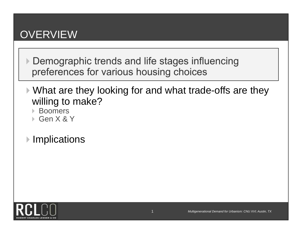### **OVERVIEW**

- Demographic trends and life stages influencing preferences for various housing choices
- ▶ What are they looking for and what trade-offs are they willing to make?
	- Boomers
	- Gen X & Y
- **▶ Implications**

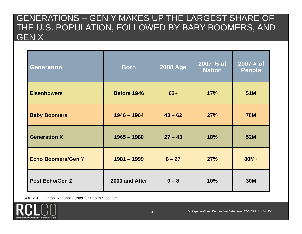#### GENERATIONS – GEN Y MAKES UP THE LARGEST SHARE OF THE U.S. POPULATION, FOLLOWED BY BABY BOOMERS, AND GEN X

| <b>Generation</b>         | <b>Born</b>    | <b>2008 Age</b> | 2007 % of<br><b>Nation</b> | 2007 # of<br><b>People</b> |
|---------------------------|----------------|-----------------|----------------------------|----------------------------|
| <b>Eisenhowers</b>        | Before 1946    | $62+$           | 17%                        | 51M                        |
| <b>Baby Boomers</b>       | $1946 - 1964$  | $43 - 62$       | 27%                        | <b>78M</b>                 |
| <b>Generation X</b>       | $1965 - 1980$  | $27 - 43$       | 18%                        | <b>52M</b>                 |
| <b>Echo Boomers/Gen Y</b> | $1981 - 1999$  | $8 - 27$        | 27%                        | 80M+                       |
| <b>Post Echo/Gen Z</b>    | 2000 and After | $0 - 8$         | 10%                        | <b>30M</b>                 |

SOURCE: Claritas, National Center for Health Statistics

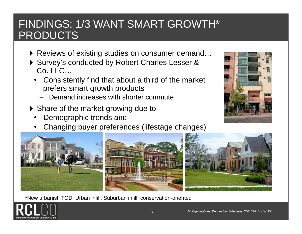# FINDINGS: 1/3 WANT SMART GROWTH\* PRODUCTS

- ▶ Reviews of existing studies on consumer demand...
- ▶ Survey's conducted by Robert Charles Lesser & Co. LLC…
	- • Consistently find that about a third of the market prefers smart growth products
		- –Demand increases with shorter commute
- ▶ Share of the market growing due to
	- •Demographic trends and
	- •Changing buyer preferences (lifestage changes)



\*New urbanist, TOD, Urban infill, Suburban infill, conservation-oriented



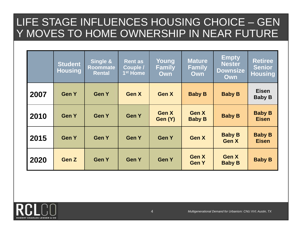# LIFE STAGE INFLUENCES HOUSING CHOICE – GEN Y MOVES TO HOME OWNERSHIP IN NEAR FUTURE

|      | <b>Student</b><br><b>Housing</b> | Single &<br><b>Roommate</b><br><b>Rental</b> | <b>Rent as</b><br>Couple /<br>1 <sup>st</sup> Home | Young<br><b>Family</b><br>Own | <b>Mature</b><br><b>Family</b><br><b>Own</b> | <b>Empty</b><br><b>Nester</b><br><b>Downsize</b><br><b>Own</b> | <b>Retiree</b><br><b>Senior</b><br><b>Housing</b> |
|------|----------------------------------|----------------------------------------------|----------------------------------------------------|-------------------------------|----------------------------------------------|----------------------------------------------------------------|---------------------------------------------------|
| 2007 | <b>Gen Y</b>                     | <b>Gen Y</b>                                 | <b>Gen X</b>                                       | <b>Gen X</b>                  | <b>Baby B</b>                                | <b>Baby B</b>                                                  | <b>Eisen</b><br><b>Baby B</b>                     |
| 2010 | <b>Gen Y</b>                     | <b>Gen Y</b>                                 | <b>Gen Y</b>                                       | <b>Gen X</b><br>Gen (Y)       | <b>Gen X</b><br><b>Baby B</b>                | <b>Baby B</b>                                                  | <b>Baby B</b><br><b>Eisen</b>                     |
| 2015 | <b>Gen Y</b>                     | <b>Gen Y</b>                                 | <b>Gen Y</b>                                       | <b>Gen Y</b>                  | <b>Gen X</b>                                 | <b>Baby B</b><br><b>Gen X</b>                                  | <b>Baby B</b><br><b>Eisen</b>                     |
| 2020 | Gen Z                            | <b>Gen Y</b>                                 | <b>Gen Y</b>                                       | <b>Gen Y</b>                  | <b>Gen X</b><br><b>Gen Y</b>                 | <b>Gen X</b><br><b>Baby B</b>                                  | <b>Baby B</b>                                     |

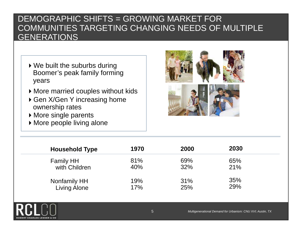#### DEMOGRAPHIC SHIFTS = GROWING MARKET FOR COMMUNITIES TARGETING CHANGING NEEDS OF MULTIPLE **GENERATIONS**

- ▶ We built the suburbs during Boomer's peak family forming years
- More married couples without kids
- ▶ Gen X/Gen Y increasing home ownership rates
- More single parents
- More people living alone



| <b>Household Type</b> | 1970 | 2000 | 2030 |  |
|-----------------------|------|------|------|--|
| <b>Family HH</b>      | 81%  | 69%  | 65%  |  |
| with Children         | 40%  | 32%  | 21%  |  |
| Nonfamily HH          | 19%  | 31%  | 35%  |  |
| <b>Living Alone</b>   | 17%  | 25%  | 29%  |  |

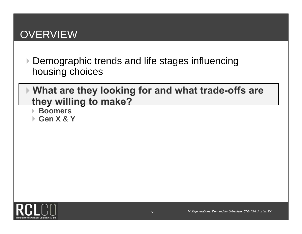# **OVERVIEW**

- ▶ Demographic trends and life stages influencing housing choices
- **What are they looking for and what trade-offs are they willing to make?** 
	- **Boomers**
	- **Gen X & Y**

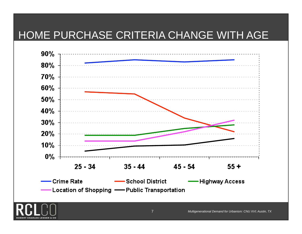#### HOME PURCHASE CRITERIA CHANGE WITH AGE



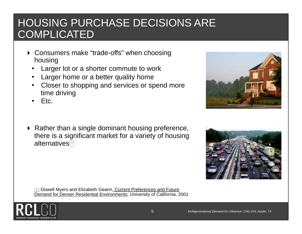# HOUSING PURCHASE DECISIONS ARE **COMPLICATED**

- ▶ Consumers make "trade-offs" when choosing housing
	- •Larger lot or a shorter commute to work
	- •Larger home or a better quality home
	- • Closer to shopping and services or spend more time driving
	- •Etc.
- $\blacktriangleright$  Rather than a single dominant housing preference, there is a significant market for a variety of housing alternatives[1]

[1] Dowell Myers and Elizabeth Gearin, Current Preferences and Future Demand for Denser Residential Environments; University of California, 2001





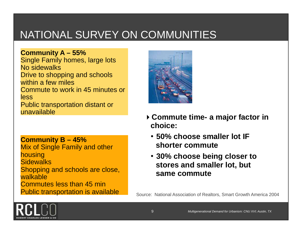# NATIONAL SURVEY ON COMMUNITIES

**Community A – 55%**  Single Family homes, large lots No sidewalks Drive to shopping and schools within a few miles Commute to work in 45 minutes or less Public transportation distant or unavailable

**Community B – 45%**  Mix of Single Family and other housing **Sidewalks** Shopping and schools are close, walkable Commutes less than 45 min Public transportation is available



- **Commute time- a major factor in choice:** 
	- **50% choose smaller lot IF shorter commute**
	- **30% choose being closer to stores and smaller lot, but same commute**

Source: National Association of Realtors, Smart Growth America 2004

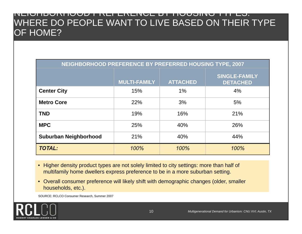#### NEIGHBORHOOD PREFERENCE BY HOUSING TYPES: WHERE DO PEOPLE WANT TO LIVE BASED ON THEIR TYPE OF HOME?

| NEIGHBORHOOD PREFERENCE BY PREFERRED HOUSING TYPE, 2007 |                     |                 |                                         |  |  |
|---------------------------------------------------------|---------------------|-----------------|-----------------------------------------|--|--|
|                                                         | <b>MULTI-FAMILY</b> | <b>ATTACHED</b> | <b>SINGLE-FAMILY</b><br><b>DETACHED</b> |  |  |
| <b>Center City</b>                                      | 15%                 | $1\%$           | 4%                                      |  |  |
| <b>Metro Core</b>                                       | 22%                 | 3%              | 5%                                      |  |  |
| <b>TND</b>                                              | 19%                 | 16%             | 21%                                     |  |  |
| <b>MPC</b>                                              | 25%                 | 40%             | 26%                                     |  |  |
| Suburban Neighborhood                                   | 21%                 | 40%             | 44%                                     |  |  |
| <b>TOTAL:</b>                                           | 100%                | 100%            | 100%                                    |  |  |

- Higher density product types are not solely limited to city settings: more than half of multifamily home dwellers express preference to be in a more suburban setting.
- Overall consumer preference will likely shift with demographic changes (older, smaller households, etc.).

SOURCE: RCLCO Consumer Research, Summer 2007

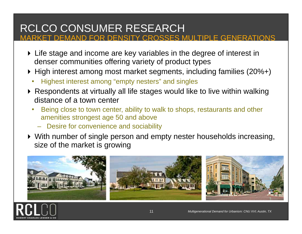# RCLCO CONSUMER RESEARCH

MARKET DEMAND FOR DENSITY CROSSES MULTIPLE GENERATIONS

- Life stage and income are key variables in the degree of interest in denser communities offering variety of product types
- ▶ High interest among most market segments, including families (20%+)
	- •Highest interest among "empty nesters" and singles
- Respondents at virtually all life stages would like to live within walking distance of a town center
	- • Being close to town center, ability to walk to shops, restaurants and other amenities strongest age 50 and above
		- Desire for convenience and sociability
- With number of single person and empty nester households increasing, size of the market is growing



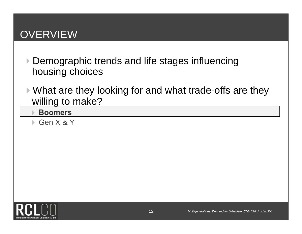# **OVERVIEW**

- ▶ Demographic trends and life stages influencing housing choices
- ▶ What are they looking for and what trade-offs are they willing to make?
	- **Boomers**
	- Gen X & Y

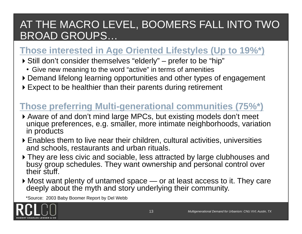# AT THE MACRO LEVEL, BOOMERS FALL INTO TWO BROAD GROUPS…

#### **Those interested in Age Oriented Lifestyles (Up to 19%\*)**

- Still don't consider themselves "elderly" prefer to be "hip"
	- Give new meaning to the word "active" in terms of amenities
- Demand lifelong learning opportunities and other types of engagement
- ▶ Expect to be healthier than their parents during retirement

#### **Those preferring Multi-generational communities (75%\*)**

- Aware of and don't mind large MPCs, but existing models don't meet unique preferences, e.g. smaller, more intimate neighborhoods, variation in products
- Enables them to live near their children, cultural activities, universities and schools, restaurants and urban rituals.
- ▶ They are less civic and sociable, less attracted by large clubhouses and busy group schedules. They want ownership and personal control over their stuff.
- Most want plenty of untamed space or at least access to it. They care deeply about the myth and story underlying their community.

\*Source: 2003 Baby Boomer Report by Del Webb

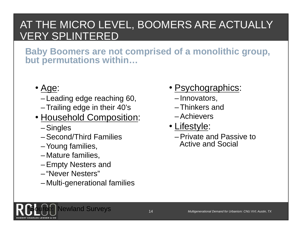# AT THE MICRO LEVEL, BOOMERS ARE ACTUALLY VERY SPLINTERED

**Baby Boomers are not comprised of a monolithic group, but permutations within…** 

- <u>Age</u>:
	- Leading edge reaching 60,
	- –Trailing edge in their 40's
- Household Composition:
	- –Singles
	- –Second/Third Families
	- –Young families,
	- Mature families,
	- –Empty Nesters and
	- "Never Nesters"
	- Multi-generational families
- Psychographics:
	- Innovators,
	- –Thinkers and
	- –Achievers
- <u>Lifestyle</u>:
	- –Private and Passive to Active and Social

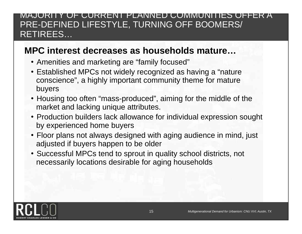#### MAJORITY OF CURRENT PLANNED COMMUNITIES OFFER A PRE-DEFINED LIFESTYLE, TURNING OFF BOOMERS/ RETIREES…

#### **MPC interest decreases as households mature…**

- Amenities and marketing are "family focused"
- Established MPCs not widely recognized as having a "nature conscience", a highly important community theme for mature buyers
- Housing too often "mass-produced", aiming for the middle of the market and lacking unique attributes.
- Production builders lack allowance for individual expression sought by experienced home buyers
- Floor plans not always designed with aging audience in mind, just adjusted if buyers happen to be older
- Successful MPCs tend to sprout in quality school districts, not necessarily locations desirable for aging households

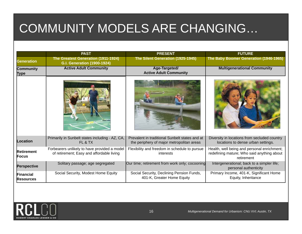# COMMUNITY MODELS ARE CHANGING…

|                               | <b>PAST</b>                                                                               | <b>PRESENT</b>                                                                              | <b>FUTURE</b>                                                                                           |
|-------------------------------|-------------------------------------------------------------------------------------------|---------------------------------------------------------------------------------------------|---------------------------------------------------------------------------------------------------------|
| <b>Generation</b>             | The Greatest Generation (1911-1924)<br><b>G.I. Generation (1900-1924)</b>                 | The Silent Generation (1925-1945)                                                           | The Baby Boomer Generation (1946-1965)                                                                  |
| Community<br>Type             | <b>Active Adult Community</b>                                                             | Age-Targeted/<br><b>Active Adult Community</b>                                              | <b>Multigenerational Community</b>                                                                      |
|                               |                                                                                           |                                                                                             |                                                                                                         |
| <b>Location</b>               | Primarily in Sunbelt states including - AZ, CA,<br>FL & TX                                | Prevalent in traditional Sunbelt states and at<br>the periphery of major metropolitan areas | Diversity in locations from secluded country<br>locations to dense urban settings.                      |
| <b>Retirement</b><br>Focus    | Forbearers unlikely to have provided a model<br>of retirement; Easy and affordable living | Flexibility and freedom in schedule to pursue<br>interests                                  | Health, well being and personal enrichment;<br>redefining mature; Who said anything about<br>retirement |
| <b>Perspective</b>            | Solitary passage; age segregated                                                          | Our time; retirement from work only; cocooning                                              | Intergenerational; back to a simpler life;<br>personal authenticity                                     |
| Financial<br><b>Resources</b> | Social Security, Modest Home Equity                                                       | Social Security, Declining Pension Funds,<br>401-K, Greater Home Equity                     | Primary Income, 401-K, Significant Home<br>Equity, Inheritance                                          |

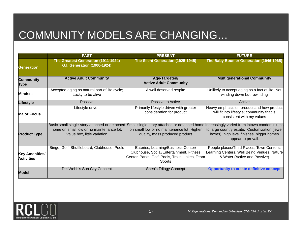# COMMUNITY MODELS ARE CHANGING…

|                                     | <b>PAST</b>                                                               | <b>PRESENT</b>                                                                                                                               | <b>FUTURE</b>                                                                                                                                                                                                                                               |
|-------------------------------------|---------------------------------------------------------------------------|----------------------------------------------------------------------------------------------------------------------------------------------|-------------------------------------------------------------------------------------------------------------------------------------------------------------------------------------------------------------------------------------------------------------|
| <b>Generation</b>                   | The Greatest Generation (1911-1924)<br><b>G.I. Generation (1900-1924)</b> | The Silent Generation (1925-1945)                                                                                                            | The Baby Boomer Generation (1946-1965)                                                                                                                                                                                                                      |
| Community<br>∏ype                   | <b>Active Adult Community</b>                                             | Age-Targeted/<br><b>Active Adult Community</b>                                                                                               | <b>Multigenerational Community</b>                                                                                                                                                                                                                          |
| <b>Mindset</b>                      | Accepted aging as natural part of life cycle;<br>Lucky to be alive        | A well deserved respite                                                                                                                      | Unlikely to accept aging as a fact of life; Not<br>winding down but rewinding                                                                                                                                                                               |
| Lifestyle                           | Passive                                                                   | Passive to Active                                                                                                                            | Active                                                                                                                                                                                                                                                      |
| <b>Major Focus</b>                  | Lifestyle driven                                                          | Primarily lifestyle driven with greater<br>consideration for product                                                                         | Heavy emphasis on product and how product<br>will fit into lifestyle; community that is<br>consistent with my values                                                                                                                                        |
| <b>Product Type</b>                 | home on small low or no maintenance lot;<br>Value box, little variation   | on small low or no maintenance lot; Higher<br>quality, mass produced product                                                                 | Basic small single-story attached or detached Small single-story attached or detached home Increasingly varied from intown condominiums<br>to large country estate. Customization (jewel<br>boxes), high level finishes, bigger homes<br>appear to prevail. |
| Key Amenities/<br><b>Activities</b> | Bingo, Golf, Shuffleboard, Clubhouse, Pools                               | Eateries, Learning/Business Center/<br>Clubhouse, Social/Entertainment, Fitness<br>Center, Parks, Golf, Pools, Trails, Lakes, Team<br>Sports | People places/Third Places, Town Centers,<br>Learning Centers, Well Being Venues, Nature<br>& Water (Active and Passive)                                                                                                                                    |
| <b>Model</b>                        | Del Webb's Sun City Concept                                               | <b>Shea's Trilogy Concept</b>                                                                                                                | <b>Opportunity to create definitive concept</b>                                                                                                                                                                                                             |

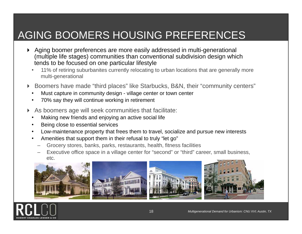# AGING BOOMERS HOUSING PREFERENCES

- Aging boomer preferences are more easily addressed in multi-generational (multiple life stages) communities than conventional subdivision design which tends to be focused on one particular lifestyle
	- • 11% of retiring suburbanites currently relocating to urban locations that are generally more multi-generational
- Boomers have made "third places" like Starbucks, B&N, their "community centers"
	- •Must capture in community design - village center or town center
	- •70% say they will continue working in retirement
- As boomers age will seek communities that facilitate:
	- •Making new friends and enjoying an active social life
	- •Being close to essential services
	- •Low-maintenance property that frees them to travel, socialize and pursue new interests
	- • Amenities that support them in their refusal to truly "let go"
		- Grocery stores, banks, parks, restaurants, health, fitness facilities
		- Executive office space in a village center for "second" or "third" career, small business, etc.









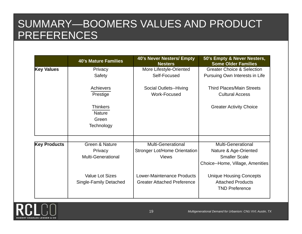# SUMMARY—BOOMERS VALUES AND PRODUCT PREFERENCES

| <b>40's Mature Families</b>                      | <b>40's Never Nesters/ Empty</b><br><b>Nesters</b>               | 50's Empty & Never Nesters,<br><b>Some Older Families</b>                           |
|--------------------------------------------------|------------------------------------------------------------------|-------------------------------------------------------------------------------------|
| Privacy                                          | More Lifestyle-Oriented                                          | <b>Greater Choice &amp; Selection</b>                                               |
| Safety                                           | Self-Focused                                                     | Pursuing Own Interests in Life                                                      |
| <b>Achievers</b>                                 | Social Outlets--Hiving                                           | <b>Third Places/Main Streets</b>                                                    |
| Prestige                                         | Work-Focused                                                     | <b>Cultural Access</b>                                                              |
| <b>Thinkers</b><br><b>Nature</b><br>Green        |                                                                  | <b>Greater Activity Choice</b>                                                      |
| Technology                                       |                                                                  |                                                                                     |
| Green & Nature                                   | <b>Multi-Generational</b>                                        | Multi-Generational                                                                  |
|                                                  |                                                                  | Nature & Age-Oriented                                                               |
| <b>Multi-Generational</b>                        | <b>Views</b>                                                     | <b>Smaller Scale</b><br>Choice--Home, Village, Amenities                            |
| <b>Value Lot Sizes</b><br>Single-Family Detached | Lower-Maintenance Products<br><b>Greater Attached Preference</b> | <b>Unique Housing Concepts</b><br><b>Attached Products</b><br><b>TND Preference</b> |
|                                                  | Privacy                                                          | <b>Stronger Lot/Home Orientation</b>                                                |

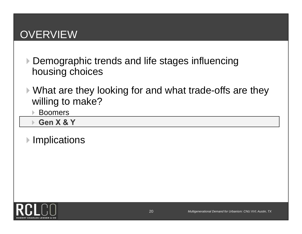# **OVERVIEW**

- ▶ Demographic trends and life stages influencing housing choices
- What are they looking for and what trade-offs are they willing to make?
	- Boomers
	- **Gen X & Y**
- **▶ Implications**

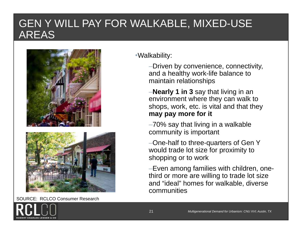#### GEN Y WILL PAY FOR WALKABLE, MIXED-USE AREAS



SOURCE: RCLCO Consumer Research

•Walkability:

–Driven by convenience, connectivity, and a healthy work-life balance to maintain relationships

–**Nearly 1 in 3** say that living in an environment where they can walk to shops, work, etc. is vital and that they **may pay more for it**

–70% say that living in a walkable community is important

–One-half to three-quarters of Gen Y would trade lot size for proximity to shopping or to work

–Even among families with children, onethird or more are willing to trade lot size and "ideal" homes for walkable, diverse communities

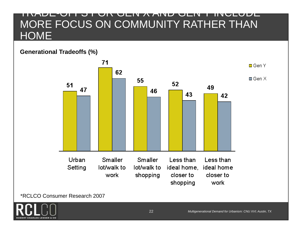#### TRADE-OFFS FOR GEN X AND GEN Y INCLUDE MORE FOCUS ON COMMUNITY RATHER THAN **HOME**

#### **Generational Tradeoffs (%)**



\*RCLCO Consumer Research 2007

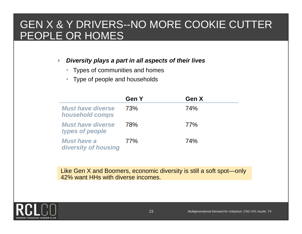#### GEN X & Y DRIVERS--NO MORE COOKIE CUTTER PEOPLE OR HOMES

#### *Diversity plays a part in all aspects of their lives*

- $\bullet$ Types of communities and homes
- $\bullet$ Type of people and households

|                                             | <b>Gen Y</b> | Gen X      |  |
|---------------------------------------------|--------------|------------|--|
| <b>Must have diverse</b><br>household comps | 73%          | <b>74%</b> |  |
| <b>Must have diverse</b><br>types of people | <b>78%</b>   | 77%        |  |
| <b>Must have a</b><br>diversity of housing  | 77%          | 74%        |  |

Like Gen X and Boomers, economic diversity is still a soft spot—only 42% want HHs with diverse incomes.

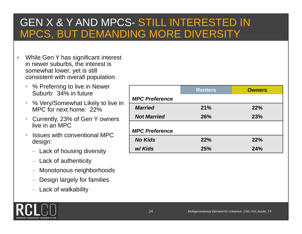### GEN X & Y AND MPCS- STILL INTERESTED IN MPCS, BUT DEMANDING MORE DIVERSITY

- While Gen Y has significant interest in newer suburbs, the interest is somewhat lower, yet is still consistent with overall population
	- $\bullet$  % Preferring to live in Newer Suburb: 34% in future
	- % Very/Somewhat Likely to live in MPC for next home: 22%
	- $\bullet$  Currently, 23% of Gen Y owners live in an MPC
	- • Issues with conventional MPC design:
		- Lack of housing diversity
		- Lack of authenticity
		- Monotonous neighborhoods
		- Design largely for families
		- Lack of walkability

|                       | <b>Renters</b> | <b>Owners</b> |
|-----------------------|----------------|---------------|
| <b>MPC Preference</b> |                |               |
| <b>Married</b>        | 21%            | 22%           |
| <b>Not Married</b>    | 26%            | 23%           |
| <b>MPC Preference</b> |                |               |
| <b>No Kids</b>        | 22%            | 22%           |
| w/Kids                | 25%            | 24%           |

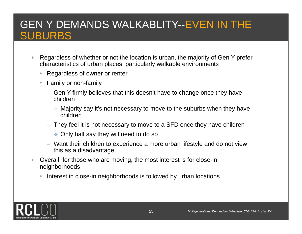# GEN Y DEMANDS WALKABLITY--EVEN IN THE SUBURBS

- Regardless of whether or not the location is urban, the majority of Gen Y prefer characteristics of urban places, particularly walkable environments
	- Regardless of owner or renter
	- Family or non-family
		- Gen Y firmly believes that this doesn't have to change once they have children
			- Majority say it's not necessary to move to the suburbs when they have children
		- They feel it is not necessary to move to a SFD once they have children
			- Only half say they will need to do so
		- Want their children to experience a more urban lifestyle and do not view this as a disadvantage
- Overall, for those who are moving**,** the most interest is for close-in neighborhoods
	- •Interest in close-in neighborhoods is followed by urban locations

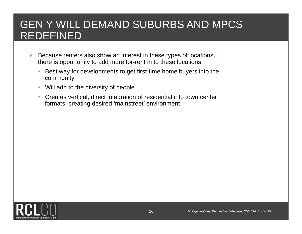## GEN Y WILL DEMAND SUBURBS AND MPCS REDEFINED

- Because renters also show an interest in these types of locations**,**  there is opportunity to add more for-rent in to these locations
	- $\bullet$  Best way for developments to get first-time home buyers into the community
	- $\bullet$ Will add to the diversity of people
	- $\bullet$  Creates vertical, direct integration of residential into town center formats, creating desired 'mainstreet' environment

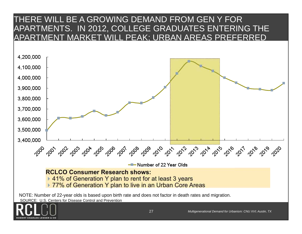#### THERE WILL BE A GROWING DEMAND FROM GEN Y FOR APARTMENTS. IN 2012, COLLEGE GRADUATES ENTERING THE APARTMENT MARKET WILL PEAK; URBAN AREAS PREFERRED

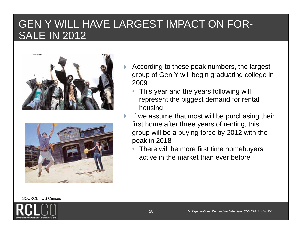### GEN Y WILL HAVE LARGEST IMPACT ON FOR-SALE IN 2012



- According to these peak numbers, the largest group of Gen Y will begin graduating college in 2009
	- This year and the years following will represent the biggest demand for rental housing
- If we assume that most will be purchasing their first home after three years of renting, this group will be a buying force by 2012 with the peak in 2018
	- There will be more first time homebuyers active in the market than ever before

SOURCE: US Census

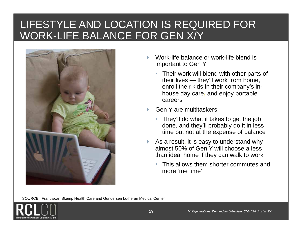## LIFESTYLE AND LOCATION IS REQUIRED FOR WORK-LIFE BALANCE FOR GEN X/Y



- Work-life balance or work-life blend is important to Gen Y
	- Their work will blend with other parts of their lives — they'll work from home, enroll their kids in their company's inhouse day care**,** and enjoy portable careers
- Gen Y are multitaskers
	- • They'll do what it takes to get the job done, and they'll probably do it in less time but not at the expense of balance
- As a result**,** it is easy to understand why almost 50% of Gen Y will choose a less than ideal home if they can walk to work
	- • This allows them shorter commutes and more 'me time'

SOURCE: Franciscan Skemp Health Care and Gundersen Lutheran Medical Center

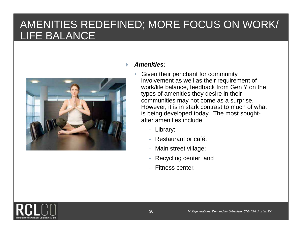# AMENITIES REDEFINED; MORE FOCUS ON WORK/ LIFE BALANCE



#### *Amenities:*

- • Given their penchant for community involvement as well as their requirement of work/life balance, feedback from Gen Y on the types of amenities they desire in their communities may not come as a surprise. However, it is in stark contrast to much of what is being developed today. The most soughtafter amenities include:
	- Library;
	- Restaurant or café;
	- Main street village;
	- Recycling center; and
	- Fitness center.

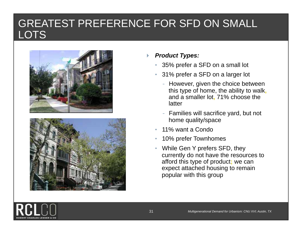#### GREATEST PREFERENCE FOR SFD ON SMALL **LOTS**





#### *Product Types:*

- •35% prefer a SFD on a small lot
- 31% prefer a SFD on a larger lot
	- However, given the choice between this type of home, the ability to walk**,** and a smaller lot**,** 71% choose the latter
	- - Families will sacrifice yard, but not home quality/space
- •11% want a Condo
- •10% prefer Townhomes
- • While Gen Y prefers SFD, they currently do not have the resources to afford this type of product**;** we can expect attached housing to remain popular with this group

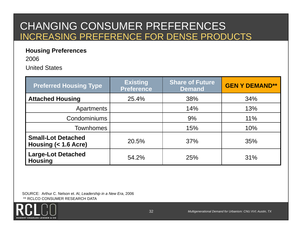#### CHANGING CONSUMER PREFERENCES INCREASING PREFERENCE FOR DENSE PRODUCTS

#### **Housing Preferences**

2006

United States

| <b>Preferred Housing Type</b>                     | <b>Existing</b><br><b>Preference</b> | <b>Share of Future</b><br><b>Demand</b> | <b>GEN Y DEMAND**</b> |
|---------------------------------------------------|--------------------------------------|-----------------------------------------|-----------------------|
| <b>Attached Housing</b>                           | 25.4%                                | 38%                                     | 34%                   |
| Apartments                                        |                                      | 14%                                     | 13%                   |
| <b>Condominiums</b>                               |                                      | 9%                                      | 11%                   |
| <b>Townhomes</b>                                  |                                      | 15%                                     | 10%                   |
| <b>Small-Lot Detached</b><br>Housing $(1.6 Acre)$ | 20.5%                                | 37%                                     | 35%                   |
| <b>Large-Lot Detached</b><br><b>Housing</b>       | 54.2%                                | 25%                                     | 31%                   |

 SOURCE: Arthur C. Nelson et. Al, *Leadership in a New Era*, 2006 \*\* RCLCO CONSUMER RESEARCH DATA

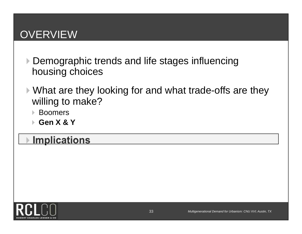# **OVERVIEW**

- ▶ Demographic trends and life stages influencing housing choices
- What are they looking for and what trade-offs are they willing to make?
	- Boomers
	- **Gen X & Y**

# **Implications**

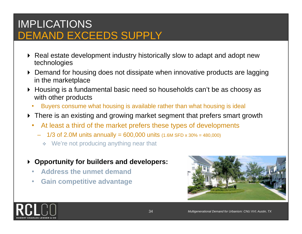## IMPLICATIONS DEMAND EXCEEDS SUPPLY

- ▶ Real estate development industry historically slow to adapt and adopt new technologies
- Demand for housing does not dissipate when innovative products are lagging in the marketplace
- ▶ Housing is a fundamental basic need so households can't be as choosy as with other products
	- •Buyers consume what housing is available rather than what housing is ideal
- ▶ There is an existing and growing market segment that prefers smart growth
	- • At least a third of the market prefers these types of developments
		- $-$  1/3 of 2.0M units annually = 600,000 units (1.6M SFD x 30% = 480,000)
			- ◆ We're not producing anything near that
- **Opportunity for builders and developers:** 
	- •**Address the unmet demand**
	- •**Gain competitive advantage**



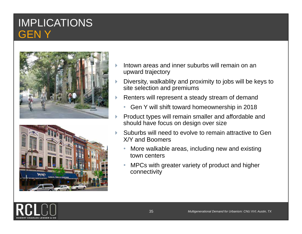#### IMPLICATIONS GEN Y





- Intown areas and inner suburbs will remain on an upward trajectory
- Diversity, walkablity and proximity to jobs will be keys to site selection and premiums
- Renters will represent a steady stream of demand
	- Gen Y will shift toward homeownership in 2018
- Product types will remain smaller and affordable and should have focus on design over size
- Suburbs will need to evolve to remain attractive to Gen X/Y and Boomers
	- • More walkable areas, including new and existing town centers
	- • MPCs with greater variety of product and higher connectivity

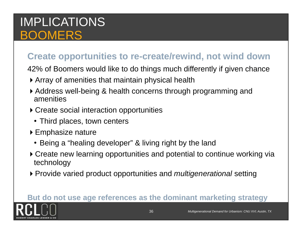# IMPLICATIONS BOOMERS

#### **Create opportunities to re-create/rewind, not wind down**

42% of Boomers would like to do things much differently if given chance

- Array of amenities that maintain physical health
- Address well-being & health concerns through programming and amenities
- ▶ Create social interaction opportunities
	- Third places, town centers
- ▶ Emphasize nature
	- Being a "healing developer" & living right by the land
- Create new learning opportunities and potential to continue working via technology
- Provide varied product opportunities and *multigenerational* setting

#### **But do not use age references as the dominant marketing strategy**

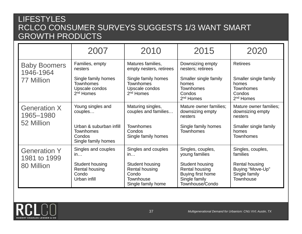#### LIFESTYLES RCLCO CONSUMER SURVEYS SUGGESTS 1/3 WANT SMART GROWTH PRODUCTS

|                                     | 2007                                                                         | 2010                                                                                 | 2015                                                                                       | 2020                                                                           |
|-------------------------------------|------------------------------------------------------------------------------|--------------------------------------------------------------------------------------|--------------------------------------------------------------------------------------------|--------------------------------------------------------------------------------|
| <b>Baby Boomers</b><br>1946-1964    | Families, empty<br>nesters                                                   | Matures families,<br>empty nesters, retirees                                         | Downsizing empty<br>nesters; retirees                                                      | <b>Retirees</b>                                                                |
| 77 Million                          | Single family homes<br><b>Townhomes</b><br>Upscale condos<br>$2nd$ Homes     | Single family homes<br><b>Townhomes</b><br>Upscale condos<br>$2nd$ Homes             | Smaller single family<br>homes<br><b>Townhomes</b><br>Condos<br>2 <sup>nd</sup> Homes      | Smaller single family<br>homes<br>Townhomes<br>Condos<br>2 <sup>nd</sup> Homes |
| <b>Generation X</b><br>1965-1980    | Young singles and<br>couples                                                 | Maturing singles,<br>couples and families                                            | Mature owner families;<br>downsizing empty<br>nesters                                      | Mature owner families;<br>downsizing empty<br>nesters                          |
| 52 Million                          | Urban & suburban infill<br><b>Townhomes</b><br>Condos<br>Single family homes | <b>Townhomes</b><br>Condos<br>Single family homes                                    | Single family homes<br><b>Townhomes</b>                                                    | Smaller single family<br>homes<br><b>Townhomes</b>                             |
| <b>Generation Y</b><br>1981 to 1999 | Singles and couples<br>in                                                    | Singles and couples<br>in                                                            | Singles, couples,<br>young families                                                        | Singles, couples,<br>families                                                  |
| 80 Million                          | Student housing<br><b>Rental housing</b><br>Condo<br>Urban infill            | <b>Student housing</b><br>Rental housing<br>Condo<br>Townhouse<br>Single family home | Student housing<br>Rental housing<br>Buying first home<br>Single family<br>Townhouse/Condo | Rental housing<br>Buying "Move-Up"<br>Single family<br>Townhouse               |

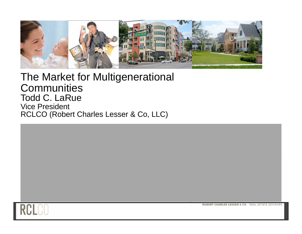

#### The Market for Multigenerational **Communities** Todd C. LaRue Vice President RCLCO (Robert Charles Lesser & Co, LLC)



ROBERT CHARLES LESSER & CO. REAL ESTATE ADVISORS